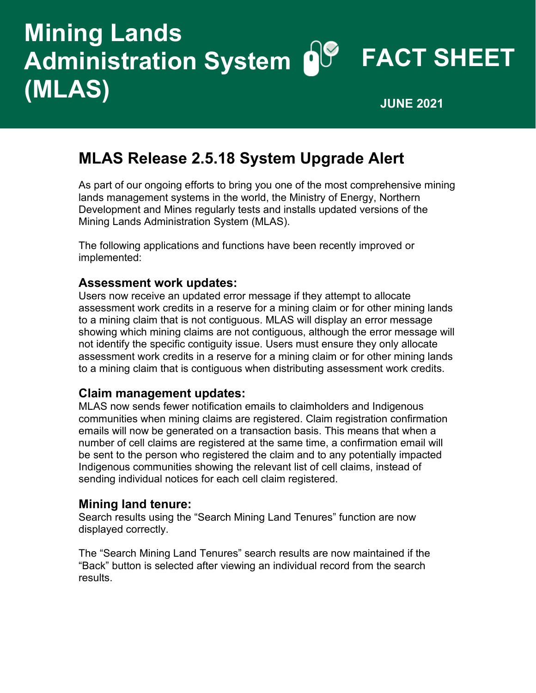# **Mining Lands Administration System OC FACT SHEET (MLAS) JUNE <sup>2021</sup>**

### **MLAS Release 2.5.18 System Upgrade Alert**

As part of our ongoing efforts to bring you one of the most comprehensive mining lands management systems in the world, the Ministry of Energy, Northern Development and Mines regularly tests and installs updated versions of the Mining Lands Administration System (MLAS).

The following applications and functions have been recently improved or implemented:

#### **Assessment work updates:**

Users now receive an updated error message if they attempt to allocate assessment work credits in a reserve for a mining claim or for other mining lands to a mining claim that is not contiguous. MLAS will display an error message showing which mining claims are not contiguous, although the error message will not identify the specific contiguity issue. Users must ensure they only allocate assessment work credits in a reserve for a mining claim or for other mining lands to a mining claim that is contiguous when distributing assessment work credits.

#### **Claim management updates:**

MLAS now sends fewer notification emails to claimholders and Indigenous communities when mining claims are registered. Claim registration confirmation emails will now be generated on a transaction basis. This means that when a number of cell claims are registered at the same time, a confirmation email will be sent to the person who registered the claim and to any potentially impacted Indigenous communities showing the relevant list of cell claims, instead of sending individual notices for each cell claim registered.

#### **Mining land tenure:**

Search results using the "Search Mining Land Tenures" function are now displayed correctly.

The "Search Mining Land Tenures" search results are now maintained if the "Back" button is selected after viewing an individual record from the search results.